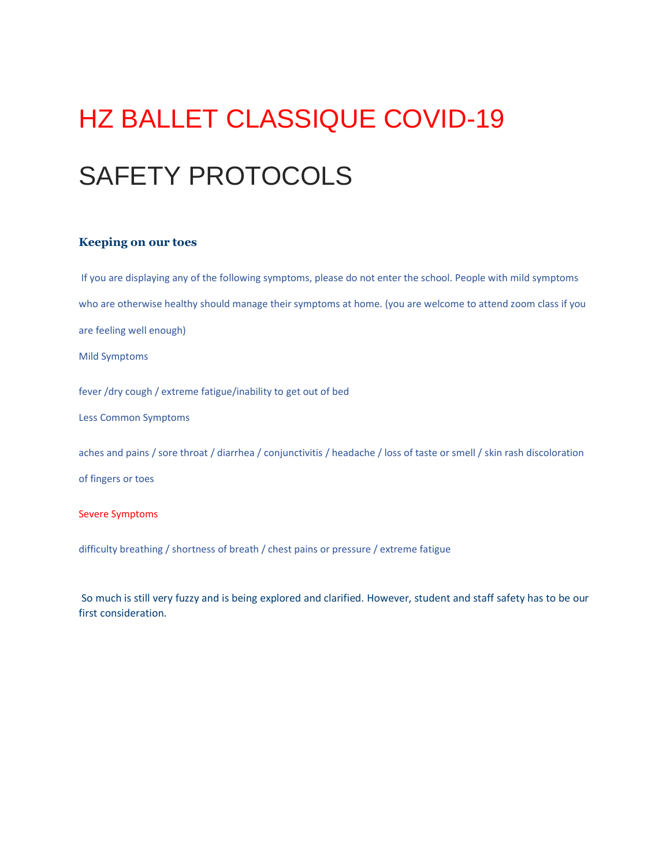## HZ BALLET CLASSIQUE COVID-19 SAFETY PROTOCOLS

## **Keeping on our toes**

If you are displaying any of the following symptoms, please do not enter the school. People with mild symptoms who are otherwise healthy should manage their symptoms at home. (you are welcome to attend zoom class if you are feeling well enough) Mild Symptoms fever /dry cough / extreme fatigue/inability to get out of bed Less Common Symptoms aches and pains / sore throat / diarrhea / conjunctivitis / headache / loss of taste or smell / skin rash discoloration of fingers or toes Severe Symptoms difficulty breathing / shortness of breath / chest pains or pressure / extreme fatigue

So much is still very fuzzy and is being explored and clarified. However, student and staff safety has to be our first consideration.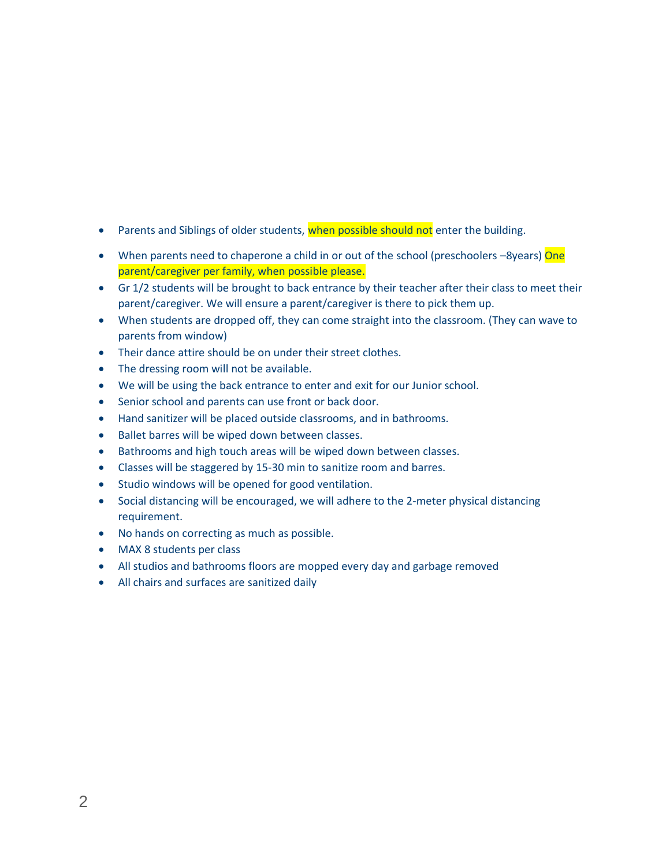- Parents and Siblings of older students, when possible should not enter the building.
- When parents need to chaperone a child in or out of the school (preschoolers -8years) One parent/caregiver per family, when possible please.
- Gr 1/2 students will be brought to back entrance by their teacher after their class to meet their parent/caregiver. We will ensure a parent/caregiver is there to pick them up.
- When students are dropped off, they can come straight into the classroom. (They can wave to parents from window)
- Their dance attire should be on under their street clothes.
- The dressing room will not be available.
- We will be using the back entrance to enter and exit for our Junior school.
- Senior school and parents can use front or back door.
- Hand sanitizer will be placed outside classrooms, and in bathrooms.
- Ballet barres will be wiped down between classes.
- Bathrooms and high touch areas will be wiped down between classes.
- Classes will be staggered by 15-30 min to sanitize room and barres.
- Studio windows will be opened for good ventilation.
- Social distancing will be encouraged, we will adhere to the 2-meter physical distancing requirement.
- No hands on correcting as much as possible.
- MAX 8 students per class
- All studios and bathrooms floors are mopped every day and garbage removed
- All chairs and surfaces are sanitized daily